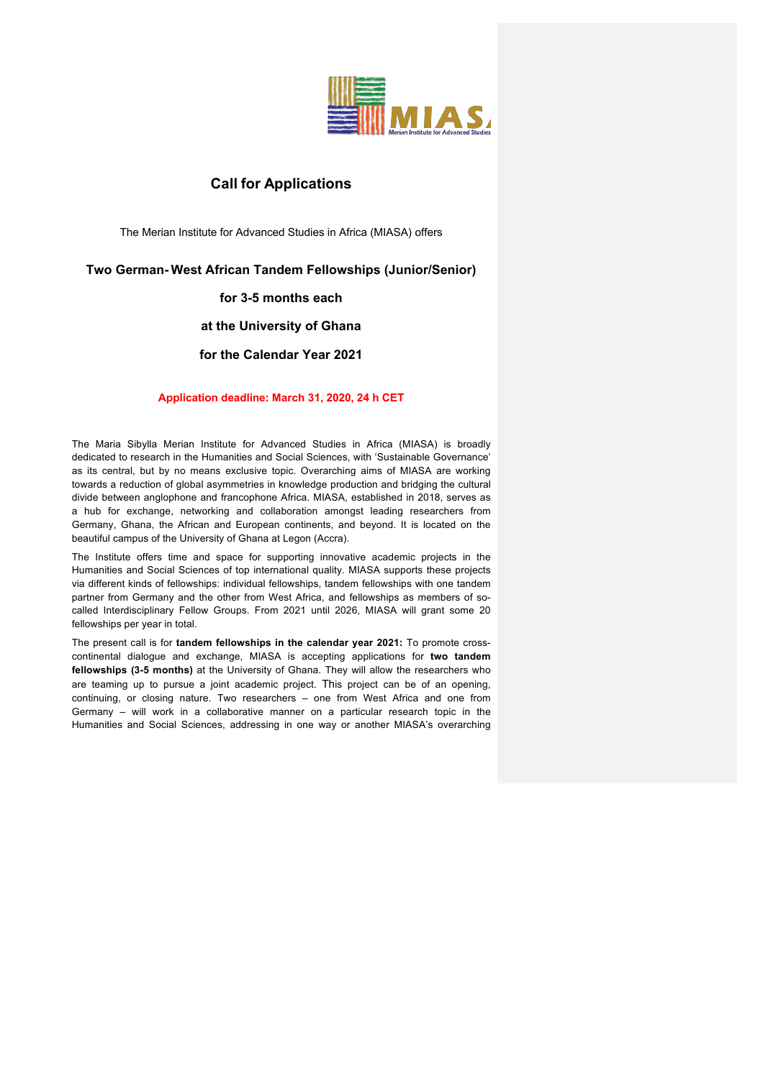

# **Call for Applications**

The Merian Institute for Advanced Studies in Africa (MIASA) offers

## **Two German- West African Tandem Fellowships (Junior/Senior)**

## **for 3-5 months each**

### **at the University of Ghana**

## **for the Calendar Year 2021**

#### **Application deadline: March 31, 2020, 24 h CET**

The Maria Sibylla Merian Institute for Advanced Studies in Africa (MIASA) is broadly dedicated to research in the Humanities and Social Sciences, with 'Sustainable Governance' as its central, but by no means exclusive topic. Overarching aims of MIASA are working towards a reduction of global asymmetries in knowledge production and bridging the cultural divide between anglophone and francophone Africa. MIASA, established in 2018, serves as a hub for exchange, networking and collaboration amongst leading researchers from Germany, Ghana, the African and European continents, and beyond. It is located on the beautiful campus of the University of Ghana at Legon (Accra).

The Institute offers time and space for supporting innovative academic projects in the Humanities and Social Sciences of top international quality. MIASA supports these projects via different kinds of fellowships: individual fellowships, tandem fellowships with one tandem partner from Germany and the other from West Africa, and fellowships as members of socalled Interdisciplinary Fellow Groups. From 2021 until 2026, MIASA will grant some 20 fellowships per year in total.

The present call is for **tandem fellowships in the calendar year 2021:** To promote crosscontinental dialogue and exchange, MIASA is accepting applications for **two tandem fellowships (3-5 months)** at the University of Ghana. They will allow the researchers who are teaming up to pursue a joint academic project. This project can be of an opening, continuing, or closing nature. Two researchers – one from West Africa and one from Germany – will work in a collaborative manner on a particular research topic in the Humanities and Social Sciences, addressing in one way or another MIASA's overarching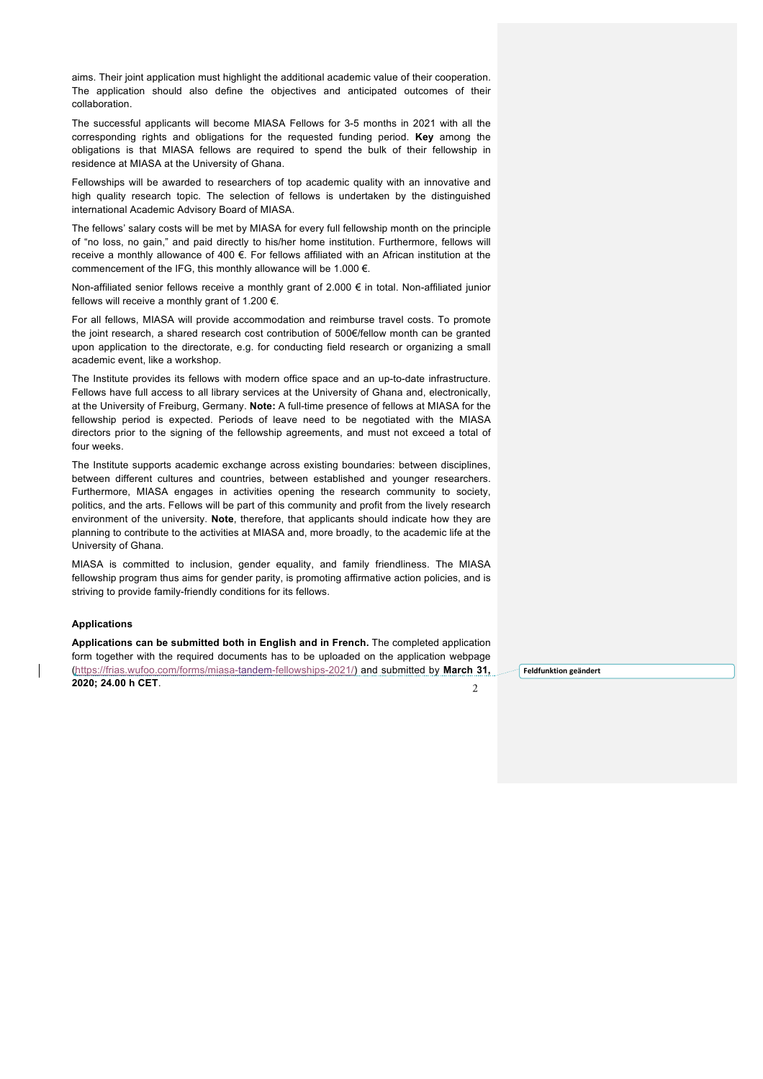aims. Their joint application must highlight the additional academic value of their cooperation. The application should also define the objectives and anticipated outcomes of their collaboration.

The successful applicants will become MIASA Fellows for 3-5 months in 2021 with all the corresponding rights and obligations for the requested funding period. **Key** among the obligations is that MIASA fellows are required to spend the bulk of their fellowship in residence at MIASA at the University of Ghana.

Fellowships will be awarded to researchers of top academic quality with an innovative and high quality research topic. The selection of fellows is undertaken by the distinguished international Academic Advisory Board of MIASA.

The fellows' salary costs will be met by MIASA for every full fellowship month on the principle of "no loss, no gain," and paid directly to his/her home institution. Furthermore, fellows will receive a monthly allowance of 400 €. For fellows affiliated with an African institution at the commencement of the IFG, this monthly allowance will be 1.000 €.

Non-affiliated senior fellows receive a monthly grant of 2.000 € in total. Non-affiliated junior fellows will receive a monthly grant of 1.200 €.

For all fellows, MIASA will provide accommodation and reimburse travel costs. To promote the joint research, a shared research cost contribution of 500€/fellow month can be granted upon application to the directorate, e.g. for conducting field research or organizing a small academic event, like a workshop.

The Institute provides its fellows with modern office space and an up-to-date infrastructure. Fellows have full access to all library services at the University of Ghana and, electronically, at the University of Freiburg, Germany. **Note:** A full-time presence of fellows at MIASA for the fellowship period is expected. Periods of leave need to be negotiated with the MIASA directors prior to the signing of the fellowship agreements, and must not exceed a total of four weeks.

The Institute supports academic exchange across existing boundaries: between disciplines, between different cultures and countries, between established and younger researchers. Furthermore, MIASA engages in activities opening the research community to society, politics, and the arts. Fellows will be part of this community and profit from the lively research environment of the university. **Note**, therefore, that applicants should indicate how they are planning to contribute to the activities at MIASA and, more broadly, to the academic life at the University of Ghana.

MIASA is committed to inclusion, gender equality, and family friendliness. The MIASA fellowship program thus aims for gender parity, is promoting affirmative action policies, and is striving to provide family-friendly conditions for its fellows.

#### **Applications**

**Applications can be submitted both in English and in French.** The completed application form together with the required documents has to be uploaded on the application webpage (https://frias.wufoo.com/forms/miasa-tandem-fellowships-2021/) and submitted by **March 31, 2020; 24.00 h CET**.  $\mathcal{L}$ 

**Feldfunktion geändert**